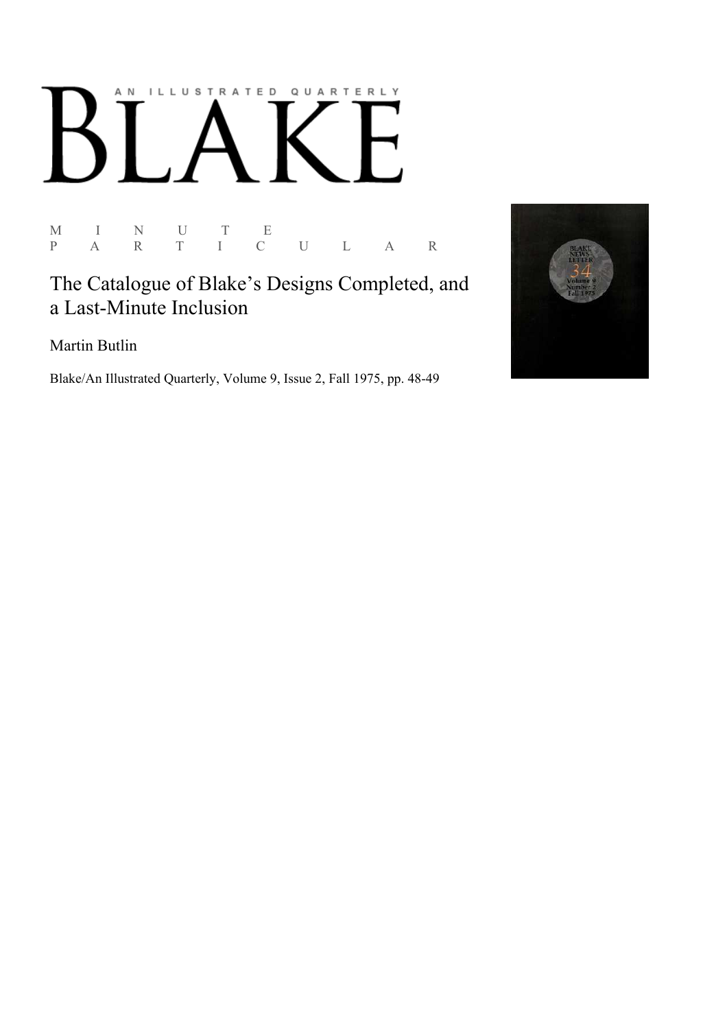## AN ILLUSTRATED QUARTERLY

M I N U T E P A R T I C U L A R

## The Catalogue of Blake's Designs Completed, and a Last-Minute Inclusion

Martin Butlin

Blake/An Illustrated Quarterly, Volume 9, Issue 2, Fall 1975, pp. 48-49

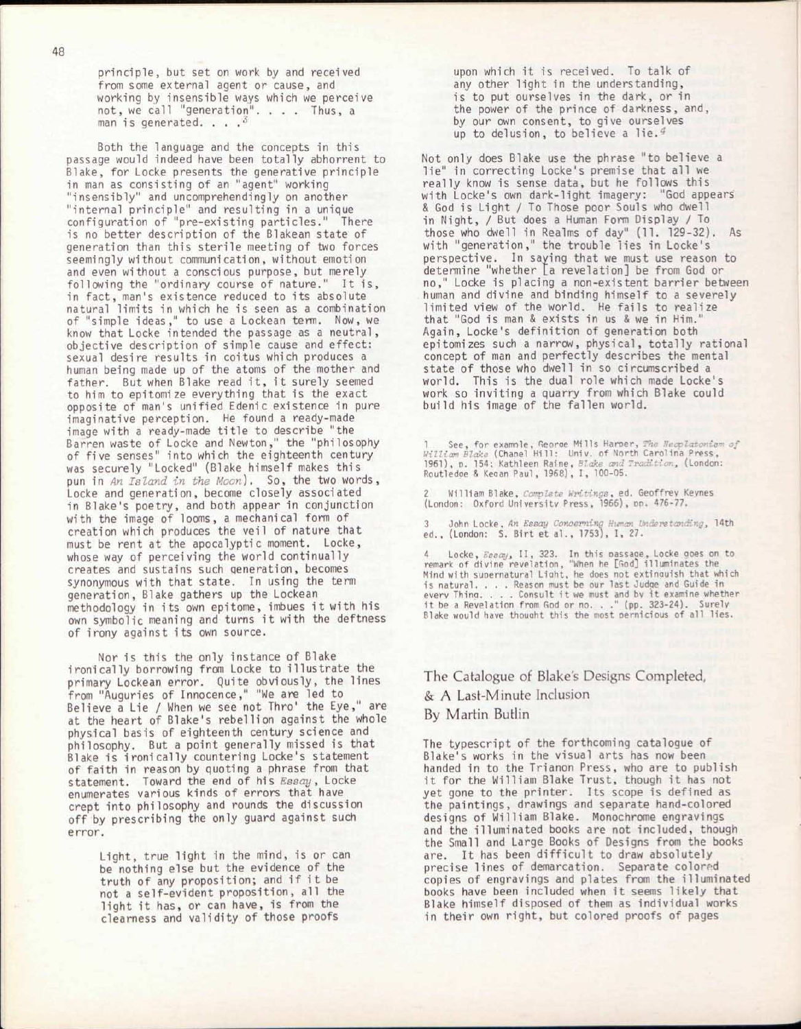principle, but set on work by and received from some external agent or cause, and working by insensible ways which we perceive not, we call "generation". . . . Thus, a man is generated. . . *, 6*

Both the language and the concepts in this passage would indeed have been totally abhorrent to Blake, for Locke presents the generative principle in man as consisting of an "agent" working "insensibly" and uncomprehendingly on another "internal principle" and resulting in a unique configuration of "pre-existing particles." There is no better description of the Blakean state of generation than this sterile meeting of two forces seemingly without communication, without emotion and even without a conscious purpose, but merely following the "ordinary course of nature." It is, in fact, man's existence reduced to its absolute natural limits in which he is seen as a combination of "simple ideas," to use a Lockean term. Now, we know that Locke intended the passage as a neutral, objective description of simple cause and effect: sexual desire results in coitus which produces a human being made up of the atoms of the mother and father. But when Blake read it, it surely seemed to him to epitomize everything that is the exact opposite of man's unified Edenic existence in pure imaginative perception. He found a ready-made image with a ready-made title to describe "the Barren waste of Locke and Newton," the "philosophy of five senses" into which the eighteenth century was securely "Locked" (Blake himself makes this pun in *An Island in the Moon).* So, the two words, Locke and generation, become closely associated in Blake's poetry, and both appear in conjunction with the image of looms, a mechanical form of creation which produces the veil of nature that must be rent at the apocalyptic moment. Locke, whose way of perceiving the world continually creates and sustains such generation, becomes synonymous with that state. In using the term generation, Blake gathers up the Lockean methodology in its own epitome, imbues it with his own symbolic meaning and turns it with the deftness of irony against its own source.

Nor is this the only instance of Blake ironically borrowing from Locke to illustrate the primary Lockean error. Quite obviously, the lines from "Auguries of Innocence," "We are led to Believe a Lie / When we see not Thro' the Eye," are at the heart of Blake's rebellion against the whole physical basis of eighteenth century science and philosophy. But a point generally missed is that Blake is ironically countering Locke's statement of faith in reason by quoting a phrase from that statement. Toward the end of his *Essay,* Locke enumerates various kinds of errors that have crept into philosophy and rounds the discussion off by prescribing the only guard against such error.

> Light, true light in the mind, is or can be nothing else but the evidence of the truth of any proposition; and if it be not a self-evident proposition, all the light it has, or can have, is from the clearness and validity of those proofs

upon which it is received. To talk of any other light in the understanding, is to put ourselves in the dark, or in the power of the prince of darkness, and, by our own consent, to give ourselves up to delusion, to believe a lie. $4$ 

Not only does Blake use the phrase "to believe a lie" in correcting Locke's premise that all we really know is sense data, but he follows this with Locke's own dark-light imagery: "God appears & God is Light / To Those poor Souls who dwell in Night, / But does a Human Form Display / To those who dwell in Realms of day" (11. 129-32). As with "generation," the trouble lies in Locke's perspective. In saying that we must use reason to determine "whether [a revelation] be from God or no," Locke is placing a non-existent barrier between human and divine and binding himself to a severely limited view of the world. He fails to realize that "God is man & exists in us & we in Him." Again, Locke's definition of generation both epitomizes such a narrow, physical, totally rational concept of man and perfectly describes the mental state of those who dwell in so circumscribed a world. This is the dual role which made Locke's work so inviting a quarry from which Blake could build his image of the fallen world.

1 - See, for example, George Mills Harper, *The Neoplatonian*<br>William Blake (Chapel Hill: Univ. of North Carolina Press,<br>1961), p. 154: Kathleen Raine, Blake and Tradition, (London:<br>Routledge & Kegan Paul, 1968), I, 100-05

2 William Blake, *Complete Writings,* ed. Geoffrev Kevnes (London: Oxford University Press, 1966), DO. 476-77.

3 John Locke, *An Essay Concern:* i *■ideretandiKg,* 14th ed., (London: S. Birt et al., 1753), I, 27.

4 Locke, *Essay*, II, 323. In this passage, Locke goes on to<br>remark of divine revelation, "When he [God] illuminates the<br>Mind with supernatural Light, he does not extinguish that which<br>is natural....Reason must be our las

The Catalogue of Blake's Designs Completed, & A Last-Minute Inclusion By Martin Butlin

The typescript of the forthcoming catalogue of Blake's works in the visual arts has now been handed in to the Trianon Press, who are to publish it for the William Blake Trust, though it has not yet gone to the printer. Its scope is defined as the paintings, drawings and separate hand-colored designs of William Blake. Monochrome engravings and the illuminated books are not included, though the Small and Large Books of Designs from the books are. It has been difficult to draw absolutely precise lines of demarcation. Separate colored copies of engravings and plates from the illuminated books have been included when it seems likely that Blake himself disposed of them as individual works in their own right, but colored proofs of pages